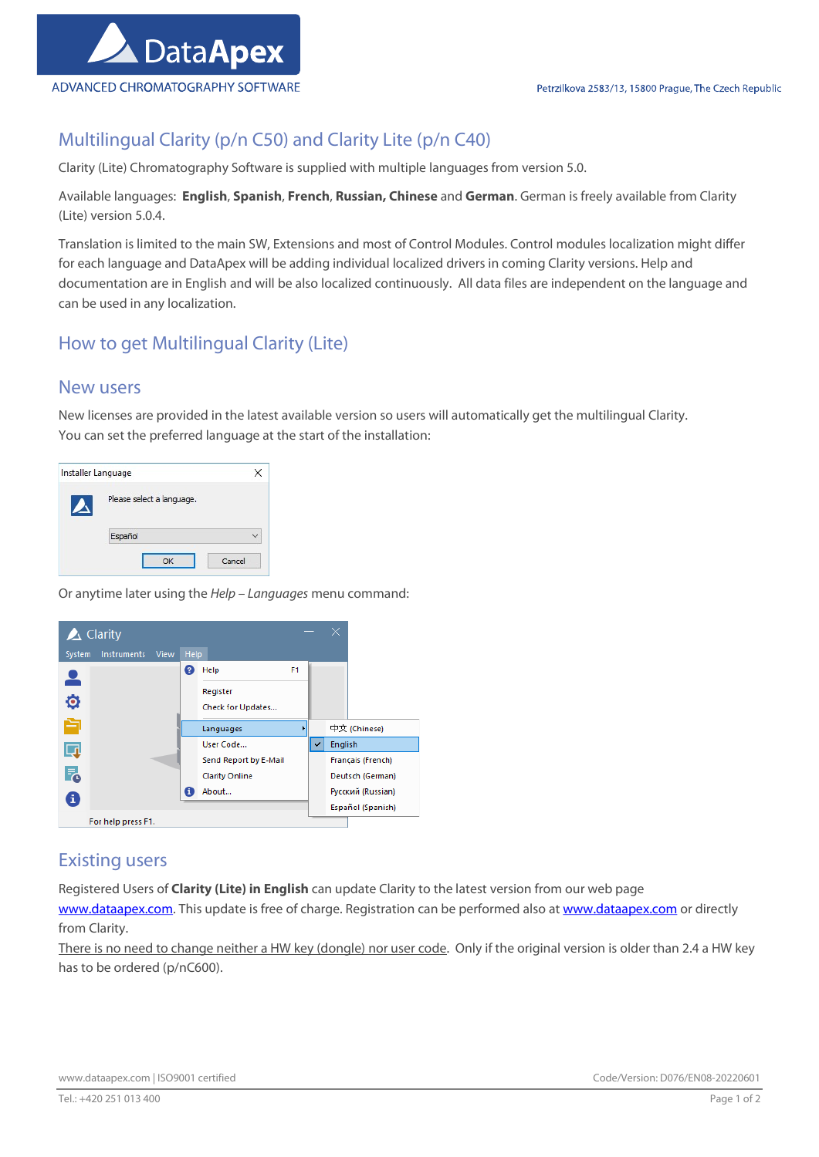

## Multilingual Clarity (p/n C50) and Clarity Lite (p/n C40)

Clarity (Lite) Chromatography Software is supplied with multiple languages from version 5.0.

Available languages: English, Spanish, French, Russian, Chinese and German. German is freely available from Clarity (Lite) version 5.0.4.

Translation is limited to the main SW, Extensions and most of Control Modules. Control modules localization might differ for each language and DataApex will be adding individual localized drivers in coming Clarity versions. Help and documentation are in English and will be also localized continuously. All data files are independent on the language and can be used in any localization.

## How to get Multilingual Clarity (Lite)

### New users

New licenses are provided in the latest available version so users will automatically get the multilingual Clarity. You can set the preferred language at the start of the installation:

|  | Installer Language        |  |
|--|---------------------------|--|
|  | Please select a language. |  |
|  | Español                   |  |
|  |                           |  |

Or anytime later using the Help – Languages menu command:



### Existing users

Registered Users of Clarity (Lite) in English can update Clarity to the latest version from our web page

www.dataapex.com. This update is free of charge. Registration can be performed also at www.dataapex.com or directly from Clarity.

There is no need to change neither a HW key (dongle) nor user code. Only if the original version is older than 2.4 a HW key has to be ordered (p/nC600).